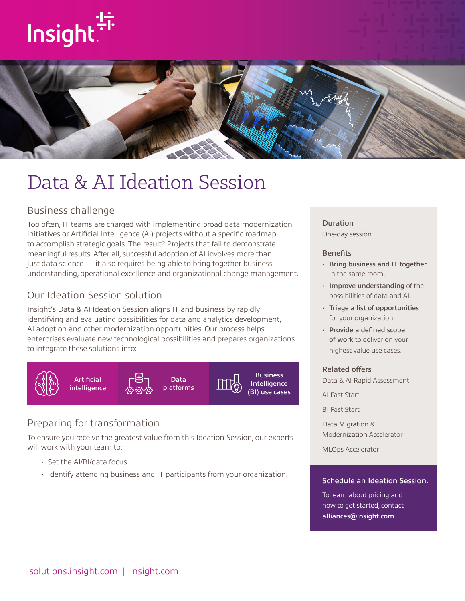# Insight:



## Data & AI Ideation Session

#### Business challenge

Too often, IT teams are charged with implementing broad data modernization initiatives or Artificial Intelligence (AI) projects without a specific roadmap to accomplish strategic goals. The result? Projects that fail to demonstrate meaningful results. After all, successful adoption of AI involves more than just data science — it also requires being able to bring together business understanding, operational excellence and organizational change management.

#### Our Ideation Session solution

Insight's Data & AI Ideation Session aligns IT and business by rapidly identifying and evaluating possibilities for data and analytics development, AI adoption and other modernization opportunities. Our process helps enterprises evaluate new technological possibilities and prepares organizations to integrate these solutions into:



#### Preparing for transformation

To ensure you receive the greatest value from this Ideation Session, our experts will work with your team to:

- Set the AI/BI/data focus.
- Identify attending business and IT participants from your organization.

#### Duration

One-day session

#### **Benefits**

- Bring business and IT together in the same room.
- Improve understanding of the possibilities of data and AI.
- Triage a list of opportunities for your organization.
- Provide a defined scope of work to deliver on your highest value use cases.

#### Related offers

Data & AI Rapid Assessment

AI Fast Start

BI Fast Start

Data Migration & Modernization Accelerator

MLOps Accelerator

#### Schedule an Ideation Session.

To learn about pricing and how to get started, contact [alliances@insight.com](mailto:alliances@insight.com).